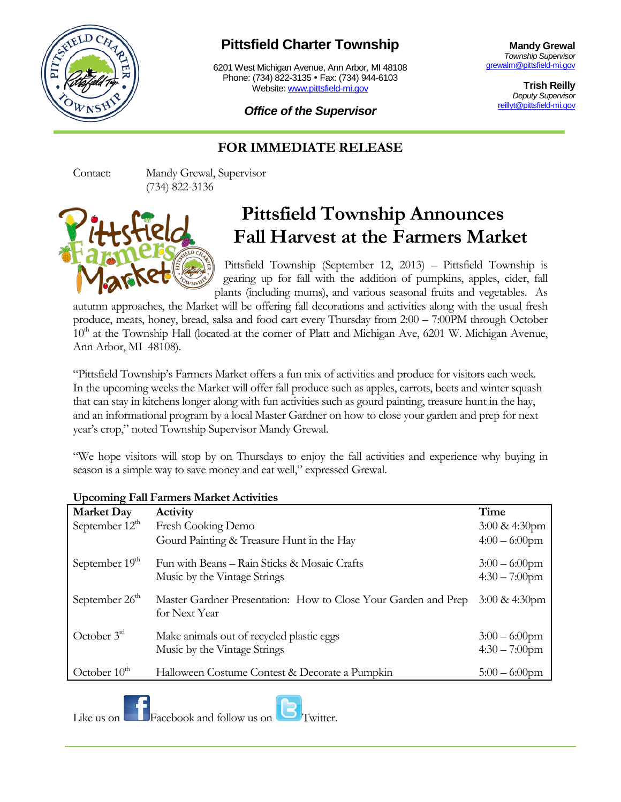

## **Pittsfield Charter Township**

6201 West Michigan Avenue, Ann Arbor, MI 48108 Phone: (734) 822-3135 • Fax: (734) 944-6103 Website: [www.pittsfield-mi.gov](http://www.pittsfield-mi.gov/)

**Mandy Grewal** *Township Supervisor* [grewalm@pittsfield-mi.gov](mailto:grewalm@pittsfield-mi.gov)

> **Trish Reilly** *Deputy Supervisor* [reillyt@pittsfield-mi.gov](mailto:reillyt@pittsfield-mi.gov)

*Office of the Supervisor*

## **FOR IMMEDIATE RELEASE**

Contact: Mandy Grewal, Supervisor (734) 822-3136



## **Pittsfield Township Announces Fall Harvest at the Farmers Market**

Pittsfield Township (September 12, 2013) – Pittsfield Township is gearing up for fall with the addition of pumpkins, apples, cider, fall plants (including mums), and various seasonal fruits and vegetables. As

autumn approaches, the Market will be offering fall decorations and activities along with the usual fresh produce, meats, honey, bread, salsa and food cart every Thursday from 2:00 – 7:00PM through October  $10<sup>th</sup>$  at the Township Hall (located at the corner of Platt and Michigan Ave, 6201 W. Michigan Avenue, Ann Arbor, MI 48108).

"Pittsfield Township's Farmers Market offers a fun mix of activities and produce for visitors each week. In the upcoming weeks the Market will offer fall produce such as apples, carrots, beets and winter squash [that can stay in kitchens longer](http://www.mint.com/blog/saving/storing-produce-07072010/) along with fun activities such as gourd painting, treasure hunt in the hay, and an informational program by a local Master Gardner on how to close your garden and prep for next year's crop," noted Township Supervisor Mandy Grewal.

"We hope visitors will stop by on Thursdays to enjoy the fall activities and experience why buying in season is a simple way to save money and eat well," expressed Grewal.

| Activity                                                       | Time                     |
|----------------------------------------------------------------|--------------------------|
| Fresh Cooking Demo                                             | $3:00 \& 4:30 \text{pm}$ |
| Gourd Painting & Treasure Hunt in the Hay                      | $4:00 - 6:00$ pm         |
| Fun with Beans – Rain Sticks & Mosaic Crafts                   | $3:00 - 6:00$ pm         |
| Music by the Vintage Strings                                   | $4:30 - 7:00$ pm         |
| Master Gardner Presentation: How to Close Your Garden and Prep | $3:00 \& 4:30 \text{pm}$ |
| for Next Year                                                  |                          |
| Make animals out of recycled plastic eggs                      | $3:00 - 6:00$ pm         |
| Music by the Vintage Strings                                   | $4:30 - 7:00$ pm         |
| Halloween Costume Contest & Decorate a Pumpkin                 | $5:00 - 6:00$ pm         |
|                                                                |                          |

## **Upcoming Fall Farmers Market Activities**

Like us on  $\Box$  Facebook and follow us on  $\Box$  Twitter.